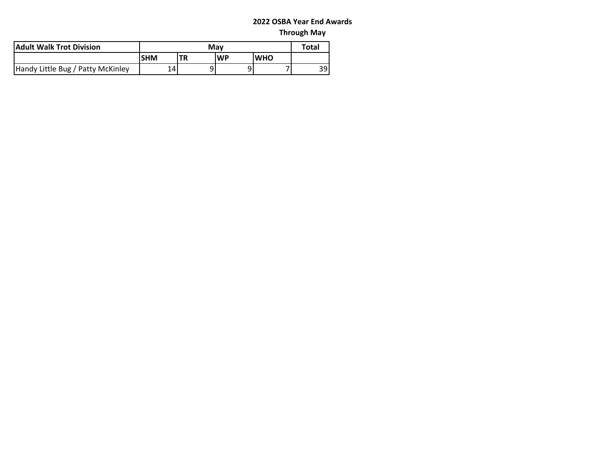| <b>Adult Walk Trot Division</b>   |            | Total     |      |            |    |
|-----------------------------------|------------|-----------|------|------------|----|
|                                   | <b>SHM</b> | <b>TR</b> | l WP | <b>WHO</b> |    |
| Handy Little Bug / Patty McKinley | 14         |           |      |            | 39 |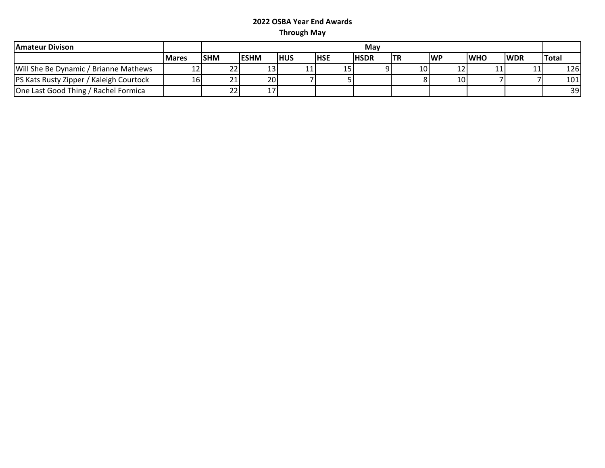| <b>Amateur Divison</b>                         |               |            | Mav          |      |            |             |            |           |            |            |              |
|------------------------------------------------|---------------|------------|--------------|------|------------|-------------|------------|-----------|------------|------------|--------------|
|                                                | <b>IMares</b> | <b>SHM</b> | <b>IESHM</b> | IHUS | <b>HSE</b> | <b>HSDR</b> | <b>ITR</b> | <b>WP</b> | <b>WHO</b> | <b>WDR</b> | <b>Total</b> |
| Will She Be Dynamic / Brianne Mathews          |               |            | 13           |      | 15         |             | 10         |           | ᆂᆂ         |            | 1261         |
| <b>PS Kats Rusty Zipper / Kaleigh Courtock</b> | 161           |            | 20           |      |            |             |            | 10        |            |            | 101          |
| One Last Good Thing / Rachel Formica           |               |            |              |      |            |             |            |           |            |            | 39           |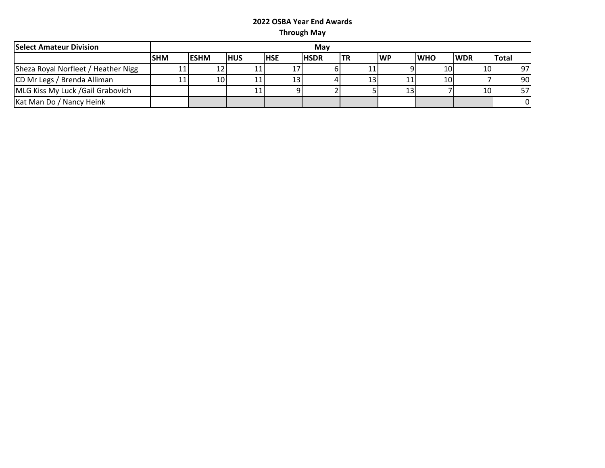| <b>Select Amateur Division</b>      |            | Mav          |             |            |              |     |     |            |                 |              |  |
|-------------------------------------|------------|--------------|-------------|------------|--------------|-----|-----|------------|-----------------|--------------|--|
|                                     | <b>SHM</b> | <b>IESHM</b> | <b>IHUS</b> | <b>HSE</b> | <b>IHSDR</b> | ltr | lWP | <b>WHO</b> | <b>IWDR</b>     | <b>Total</b> |  |
| Sheza Royal Norfleet / Heather Nigg | 11         | 12           |             |            |              | 11  |     | 10         | 10              | 97           |  |
| CD Mr Legs / Brenda Alliman         | 11         | 10           |             | 13         |              | 13  | ᆠᆠ  | 10         |                 | 90           |  |
| MLG Kiss My Luck /Gail Grabovich    |            |              |             |            |              |     |     |            | 10 <sub>l</sub> | 57I          |  |
| Kat Man Do / Nancy Heink            |            |              |             |            |              |     |     |            |                 | ΟI           |  |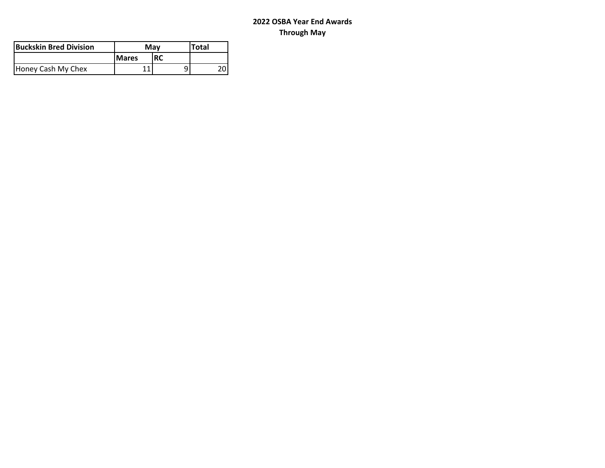| lBuckskin Bred Division | Mav          | <b>Total</b> |    |
|-------------------------|--------------|--------------|----|
|                         | <b>Mares</b> |              |    |
| Honey Cash My Chex      |              |              | 20 |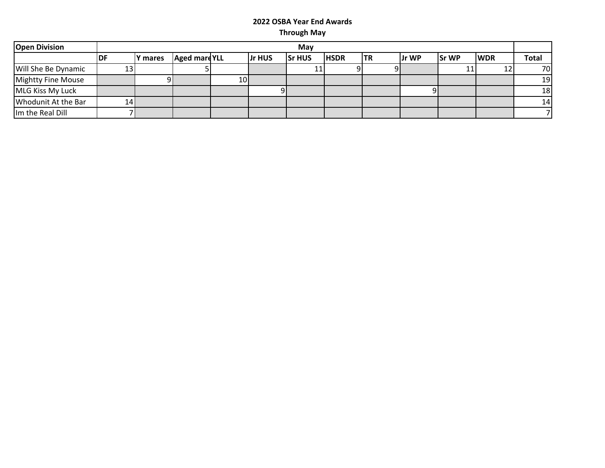| <b>Open Division</b> | May |         |                      |                 |        |               |             |     |       |              |            |              |
|----------------------|-----|---------|----------------------|-----------------|--------|---------------|-------------|-----|-------|--------------|------------|--------------|
|                      | IDF | Y mares | <b>Aged mare YLL</b> |                 | Jr HUS | <b>Sr HUS</b> | <b>HSDR</b> | ltr | Jr WP | <b>Sr WP</b> | <b>WDR</b> | <b>Total</b> |
| Will She Be Dynamic  | 13  |         |                      |                 |        | 11            |             |     |       |              | 12         | <b>70</b>    |
| Mightty Fine Mouse   |     |         |                      | 10 <sup>1</sup> |        |               |             |     |       |              |            | 19           |
| MLG Kiss My Luck     |     |         |                      |                 |        |               |             |     |       |              |            | 18           |
| Whodunit At the Bar  | 141 |         |                      |                 |        |               |             |     |       |              |            | 14           |
| Im the Real Dill     |     |         |                      |                 |        |               |             |     |       |              |            |              |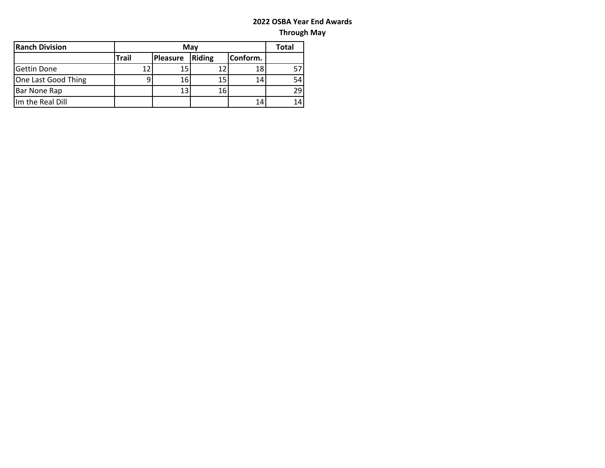| <b>Ranch Division</b> |              | Mav      |        |          |    |  |  |  |  |  |
|-----------------------|--------------|----------|--------|----------|----|--|--|--|--|--|
|                       | <b>Trail</b> | Pleasure | Riding | Conform. |    |  |  |  |  |  |
| Gettin Done           | 12           | 15       | 12     | 18       | 57 |  |  |  |  |  |
| One Last Good Thing   |              | 16       | 15     | 14       | 54 |  |  |  |  |  |
| Bar None Rap          |              | 13       | 16     |          | 29 |  |  |  |  |  |
| Im the Real Dill      |              |          |        | 14       | 14 |  |  |  |  |  |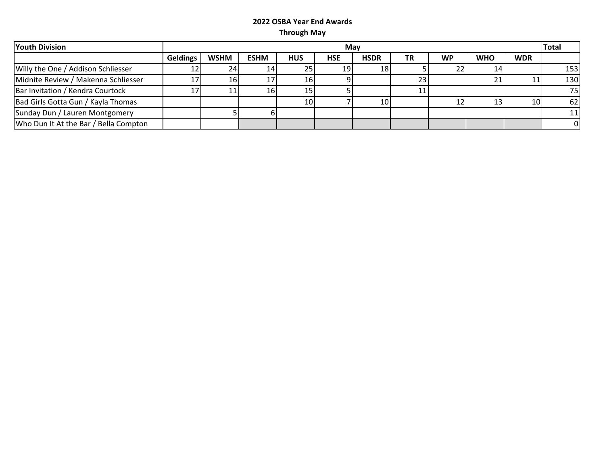| <b>Youth Division</b>                 |                 | May         |             |            |            |                 |    |           |            |            |     |  |
|---------------------------------------|-----------------|-------------|-------------|------------|------------|-----------------|----|-----------|------------|------------|-----|--|
|                                       | <b>Geldings</b> | <b>WSHM</b> | <b>ESHM</b> | <b>HUS</b> | <b>HSE</b> | <b>HSDR</b>     | ΤR | <b>WP</b> | <b>WHO</b> | <b>WDR</b> |     |  |
| Willy the One / Addison Schliesser    |                 | 24          | 14          |            | 19         | <b>18</b>       |    |           | 14         |            | 153 |  |
| Midnite Review / Makenna Schliesser   |                 | Ίb          |             |            |            |                 | 23 |           | 21         |            | 130 |  |
| Bar Invitation / Kendra Courtock      |                 |             | 16          |            |            |                 |    |           |            |            | 75  |  |
| Bad Girls Gotta Gun / Kayla Thomas    |                 |             |             | 10I        |            | 10 <sub>1</sub> |    |           | 13         | 10 I       | 62  |  |
| Sunday Dun / Lauren Montgomery        |                 |             |             |            |            |                 |    |           |            |            | 11  |  |
| Who Dun It At the Bar / Bella Compton |                 |             |             |            |            |                 |    |           |            |            |     |  |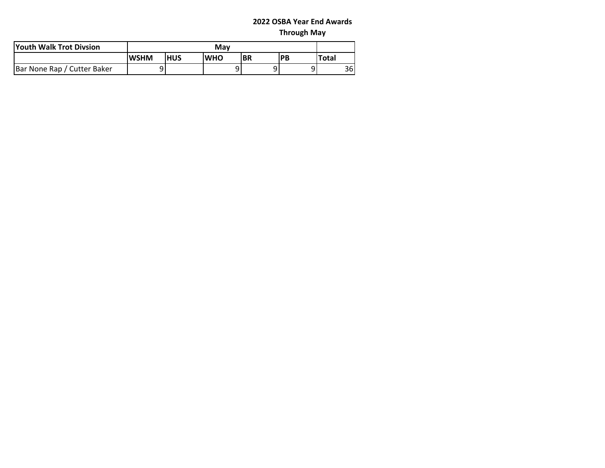| <b>Youth Walk Trot Divsion</b> |             | Mav        |             |    |    |              |    |  |  |  |  |
|--------------------------------|-------------|------------|-------------|----|----|--------------|----|--|--|--|--|
|                                | <b>WSHM</b> | <b>HUS</b> | <b>IWHO</b> | BR | PB | <b>Total</b> |    |  |  |  |  |
| Bar None Rap / Cutter Baker    |             |            |             | Q  | Q  |              | 36 |  |  |  |  |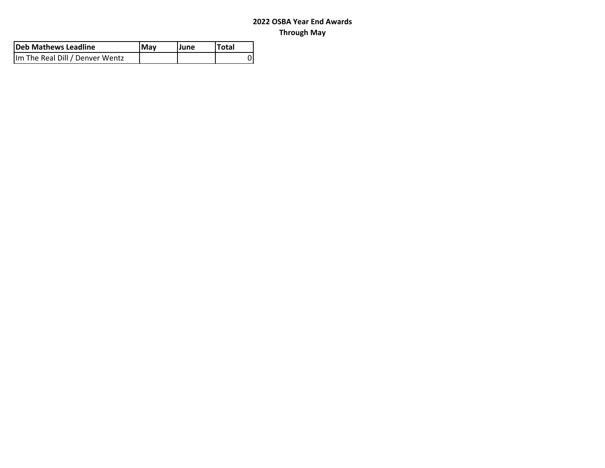| Deb Mathews Leadline            | <b>IMav</b> | lJune | <b>Total</b> |
|---------------------------------|-------------|-------|--------------|
| Im The Real Dill / Denver Wentz |             |       |              |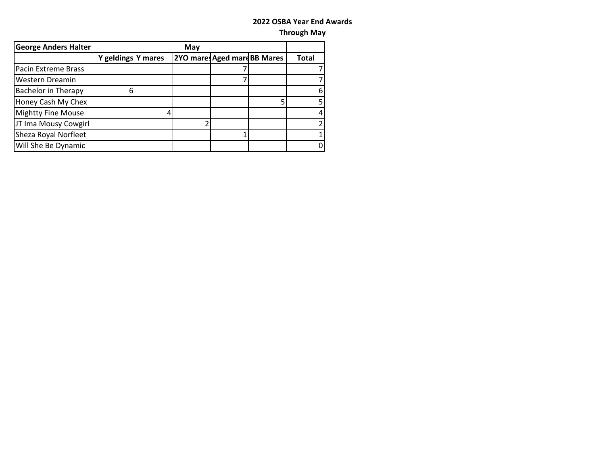| <b>George Anders Halter</b> |                    | May |  |                              |  |              |  |  |  |  |
|-----------------------------|--------------------|-----|--|------------------------------|--|--------------|--|--|--|--|
|                             | Y geldings Y mares |     |  | 2YO mares Aged mare BB Mares |  | <b>Total</b> |  |  |  |  |
| Pacin Extreme Brass         |                    |     |  |                              |  |              |  |  |  |  |
| Western Dreamin             |                    |     |  |                              |  |              |  |  |  |  |
| <b>Bachelor in Therapy</b>  | հ                  |     |  |                              |  | 6            |  |  |  |  |
| Honey Cash My Chex          |                    |     |  |                              |  |              |  |  |  |  |
| <b>Mightty Fine Mouse</b>   |                    |     |  |                              |  | 4            |  |  |  |  |
| JT Ima Mousy Cowgirl        |                    |     |  |                              |  |              |  |  |  |  |
| Sheza Royal Norfleet        |                    |     |  |                              |  |              |  |  |  |  |
| Will She Be Dynamic         |                    |     |  |                              |  |              |  |  |  |  |